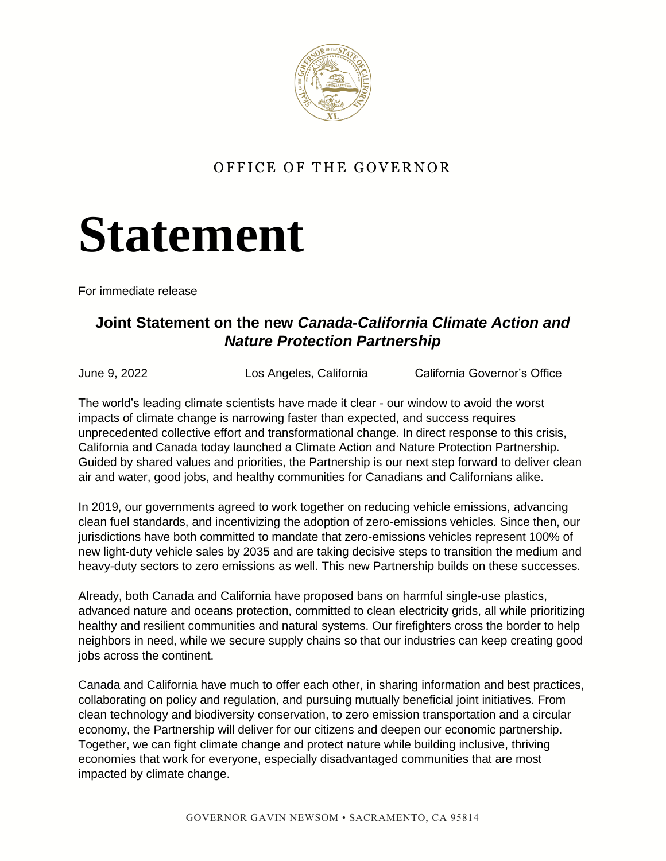

## OFFICE OF THE GOVERNOR

## **Statement**

For immediate release

## **Joint Statement on the new** *Canada-California Climate Action and Nature Protection Partnership*

June 9, 2022 Los Angeles, California California Governor's Office

The world's leading climate scientists have made it clear - our window to avoid the worst impacts of climate change is narrowing faster than expected, and success requires unprecedented collective effort and transformational change. In direct response to this crisis, California and Canada today launched a Climate Action and Nature Protection Partnership. Guided by shared values and priorities, the Partnership is our next step forward to deliver clean air and water, good jobs, and healthy communities for Canadians and Californians alike.

In 2019, our governments agreed to work together on reducing vehicle emissions, advancing clean fuel standards, and incentivizing the adoption of zero-emissions vehicles. Since then, our jurisdictions have both committed to mandate that zero-emissions vehicles represent 100% of new light-duty vehicle sales by 2035 and are taking decisive steps to transition the medium and heavy-duty sectors to zero emissions as well. This new Partnership builds on these successes.

Already, both Canada and California have proposed bans on harmful single-use plastics, advanced nature and oceans protection, committed to clean electricity grids, all while prioritizing healthy and resilient communities and natural systems. Our firefighters cross the border to help neighbors in need, while we secure supply chains so that our industries can keep creating good jobs across the continent.

Canada and California have much to offer each other, in sharing information and best practices, collaborating on policy and regulation, and pursuing mutually beneficial joint initiatives. From clean technology and biodiversity conservation, to zero emission transportation and a circular economy, the Partnership will deliver for our citizens and deepen our economic partnership. Together, we can fight climate change and protect nature while building inclusive, thriving economies that work for everyone, especially disadvantaged communities that are most impacted by climate change.